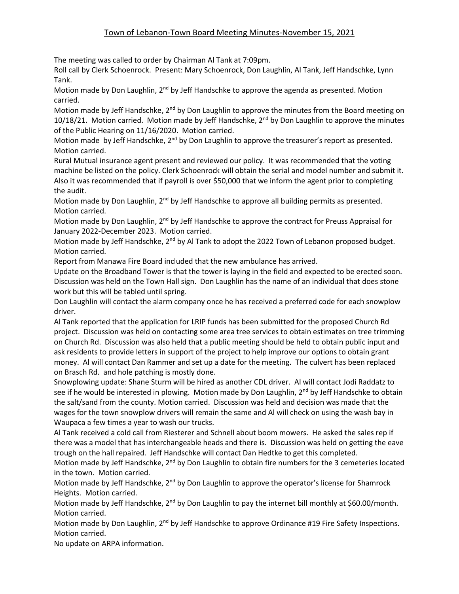## Town of Lebanon-Town Board Meeting Minutes-November 15, 2021

The meeting was called to order by Chairman Al Tank at 7:09pm.

Roll call by Clerk Schoenrock. Present: Mary Schoenrock, Don Laughlin, Al Tank, Jeff Handschke, Lynn Tank.

Motion made by Don Laughlin, 2<sup>nd</sup> by Jeff Handschke to approve the agenda as presented. Motion carried.

Motion made by Jeff Handschke,  $2^{nd}$  by Don Laughlin to approve the minutes from the Board meeting on  $10/18/21$ . Motion carried. Motion made by Jeff Handschke,  $2^{nd}$  by Don Laughlin to approve the minutes of the Public Hearing on 11/16/2020. Motion carried.

Motion made by Jeff Handschke,  $2^{nd}$  by Don Laughlin to approve the treasurer's report as presented. Motion carried.

Rural Mutual insurance agent present and reviewed our policy. It was recommended that the voting machine be listed on the policy. Clerk Schoenrock will obtain the serial and model number and submit it. Also it was recommended that if payroll is over \$50,000 that we inform the agent prior to completing the audit.

Motion made by Don Laughlin, 2<sup>nd</sup> by Jeff Handschke to approve all building permits as presented. Motion carried.

Motion made by Don Laughlin, 2<sup>nd</sup> by Jeff Handschke to approve the contract for Preuss Appraisal for January 2022-December 2023. Motion carried.

Motion made by Jeff Handschke, 2<sup>nd</sup> by Al Tank to adopt the 2022 Town of Lebanon proposed budget. Motion carried.

Report from Manawa Fire Board included that the new ambulance has arrived.

Update on the Broadband Tower is that the tower is laying in the field and expected to be erected soon. Discussion was held on the Town Hall sign. Don Laughlin has the name of an individual that does stone work but this will be tabled until spring.

Don Laughlin will contact the alarm company once he has received a preferred code for each snowplow driver.

Al Tank reported that the application for LRIP funds has been submitted for the proposed Church Rd project. Discussion was held on contacting some area tree services to obtain estimates on tree trimming on Church Rd. Discussion was also held that a public meeting should be held to obtain public input and ask residents to provide letters in support of the project to help improve our options to obtain grant money. Al will contact Dan Rammer and set up a date for the meeting. The culvert has been replaced on Brasch Rd. and hole patching is mostly done.

Snowplowing update: Shane Sturm will be hired as another CDL driver. Al will contact Jodi Raddatz to see if he would be interested in plowing. Motion made by Don Laughlin, 2<sup>nd</sup> by Jeff Handschke to obtain the salt/sand from the county. Motion carried. Discussion was held and decision was made that the wages for the town snowplow drivers will remain the same and Al will check on using the wash bay in Waupaca a few times a year to wash our trucks.

Al Tank received a cold call from Riesterer and Schnell about boom mowers. He asked the sales rep if there was a model that has interchangeable heads and there is. Discussion was held on getting the eave trough on the hall repaired. Jeff Handschke will contact Dan Hedtke to get this completed.

Motion made by Jeff Handschke, 2<sup>nd</sup> by Don Laughlin to obtain fire numbers for the 3 cemeteries located in the town. Motion carried.

Motion made by Jeff Handschke, 2<sup>nd</sup> by Don Laughlin to approve the operator's license for Shamrock Heights. Motion carried.

Motion made by Jeff Handschke, 2<sup>nd</sup> by Don Laughlin to pay the internet bill monthly at \$60.00/month. Motion carried.

Motion made by Don Laughlin,  $2<sup>nd</sup>$  by Jeff Handschke to approve Ordinance #19 Fire Safety Inspections. Motion carried.

No update on ARPA information.